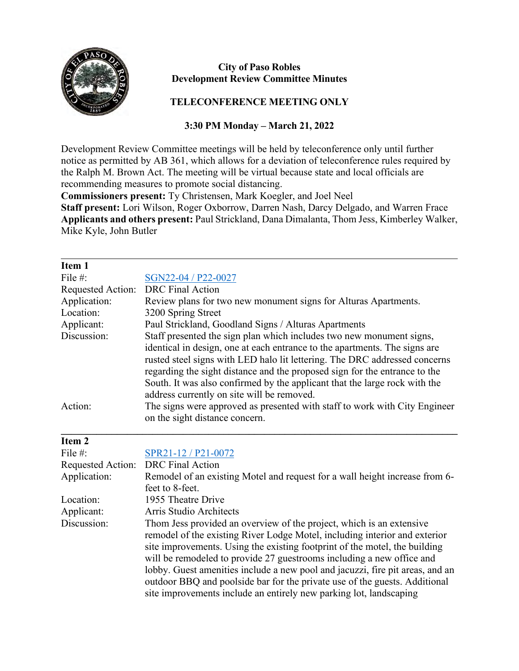

## **City of Paso Robles Development Review Committee Minutes**

## **TELECONFERENCE MEETING ONLY**

## **3:30 PM Monday – March 21, 2022**

Development Review Committee meetings will be held by teleconference only until further notice as permitted by AB 361, which allows for a deviation of teleconference rules required by the Ralph M. Brown Act. The meeting will be virtual because state and local officials are recommending measures to promote social distancing.

**Commissioners present:** Ty Christensen, Mark Koegler, and Joel Neel

**Staff present:** Lori Wilson, Roger Oxborrow, Darren Nash, Darcy Delgado, and Warren Frace **Applicants and others present:** Paul Strickland, Dana Dimalanta, Thom Jess, Kimberley Walker, Mike Kyle, John Butler

| Item 1            |                                                                                                                                                                                                                                                                                                                                                                                              |
|-------------------|----------------------------------------------------------------------------------------------------------------------------------------------------------------------------------------------------------------------------------------------------------------------------------------------------------------------------------------------------------------------------------------------|
| File $#$ :        | SGN22-04 / P22-0027                                                                                                                                                                                                                                                                                                                                                                          |
| Requested Action: | <b>DRC</b> Final Action                                                                                                                                                                                                                                                                                                                                                                      |
| Application:      | Review plans for two new monument signs for Alturas Apartments.                                                                                                                                                                                                                                                                                                                              |
| Location:         | 3200 Spring Street                                                                                                                                                                                                                                                                                                                                                                           |
| Applicant:        | Paul Strickland, Goodland Signs / Alturas Apartments                                                                                                                                                                                                                                                                                                                                         |
| Discussion:       | Staff presented the sign plan which includes two new monument signs,<br>identical in design, one at each entrance to the apartments. The signs are<br>rusted steel signs with LED halo lit lettering. The DRC addressed concerns<br>regarding the sight distance and the proposed sign for the entrance to the<br>South. It was also confirmed by the applicant that the large rock with the |
| Action:           | address currently on site will be removed.<br>The signs were approved as presented with staff to work with City Engineer<br>on the sight distance concern.                                                                                                                                                                                                                                   |

| Item 2            |                                                                               |
|-------------------|-------------------------------------------------------------------------------|
| File $#$ :        | SPR21-12 / P21-0072                                                           |
| Requested Action: | <b>DRC</b> Final Action                                                       |
| Application:      | Remodel of an existing Motel and request for a wall height increase from 6-   |
|                   | feet to 8-feet.                                                               |
| Location:         | 1955 Theatre Drive                                                            |
| Applicant:        | Arris Studio Architects                                                       |
| Discussion:       | Thom Jess provided an overview of the project, which is an extensive          |
|                   | remodel of the existing River Lodge Motel, including interior and exterior    |
|                   | site improvements. Using the existing footprint of the motel, the building    |
|                   | will be remodeled to provide 27 guestrooms including a new office and         |
|                   | lobby. Guest amenities include a new pool and jacuzzi, fire pit areas, and an |
|                   | outdoor BBQ and poolside bar for the private use of the guests. Additional    |
|                   | site improvements include an entirely new parking lot, landscaping            |